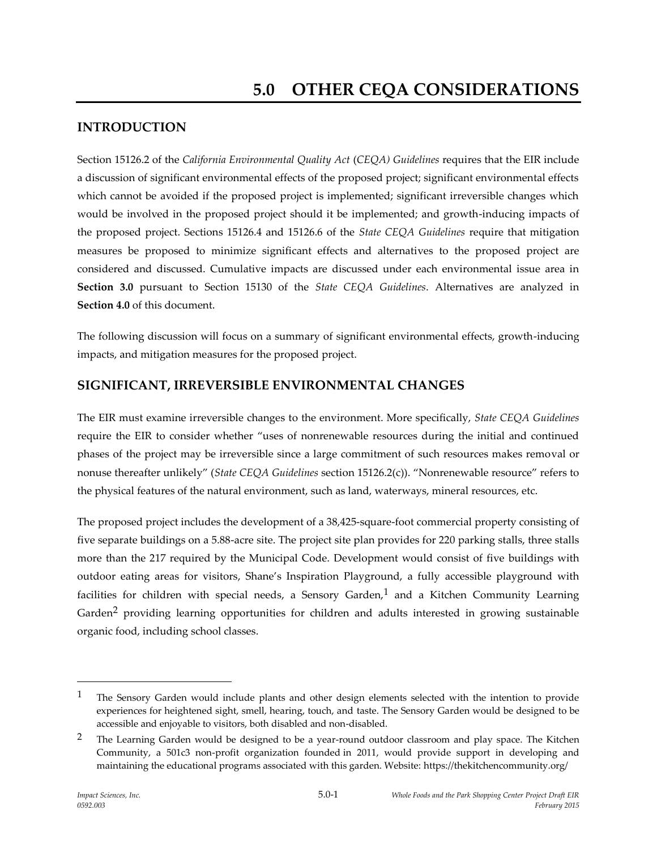# **INTRODUCTION**

Section 15126.2 of the *California Environmental Quality Act* (*CEQA) Guidelines* requires that the EIR include a discussion of significant environmental effects of the proposed project; significant environmental effects which cannot be avoided if the proposed project is implemented; significant irreversible changes which would be involved in the proposed project should it be implemented; and growth-inducing impacts of the proposed project. Sections 15126.4 and 15126.6 of the *State CEQA Guidelines* require that mitigation measures be proposed to minimize significant effects and alternatives to the proposed project are considered and discussed. Cumulative impacts are discussed under each environmental issue area in **Section 3.0** pursuant to Section 15130 of the *State CEQA Guidelines*. Alternatives are analyzed in **Section 4.0** of this document.

The following discussion will focus on a summary of significant environmental effects, growth-inducing impacts, and mitigation measures for the proposed project.

### **SIGNIFICANT, IRREVERSIBLE ENVIRONMENTAL CHANGES**

The EIR must examine irreversible changes to the environment. More specifically, *State CEQA Guidelines* require the EIR to consider whether "uses of nonrenewable resources during the initial and continued phases of the project may be irreversible since a large commitment of such resources makes removal or nonuse thereafter unlikely" (*State CEQA Guidelines* section 15126.2(c)). "Nonrenewable resource" refers to the physical features of the natural environment, such as land, waterways, mineral resources, etc.

The proposed project includes the development of a 38,425-square-foot commercial property consisting of five separate buildings on a 5.88-acre site. The project site plan provides for 220 parking stalls, three stalls more than the 217 required by the Municipal Code. Development would consist of five buildings with outdoor eating areas for visitors, Shane's Inspiration Playground, a fully accessible playground with facilities for children with special needs, a Sensory Garden,<sup>1</sup> and a Kitchen Community Learning Garden<sup>2</sup> providing learning opportunities for children and adults interested in growing sustainable organic food, including school classes.

 $\overline{a}$ 

<sup>&</sup>lt;sup>1</sup> The Sensory Garden would include plants and other design elements selected with the intention to provide experiences for heightened sight, smell, hearing, touch, and taste. The Sensory Garden would be designed to be accessible and enjoyable to visitors, both disabled and non-disabled.

<sup>&</sup>lt;sup>2</sup> The Learning Garden would be designed to be a year-round outdoor classroom and play space. The Kitchen Community, a 501c3 non-profit organization founded in 2011, would provide support in developing and maintaining the educational programs associated with this garden. Website: https://thekitchencommunity.org/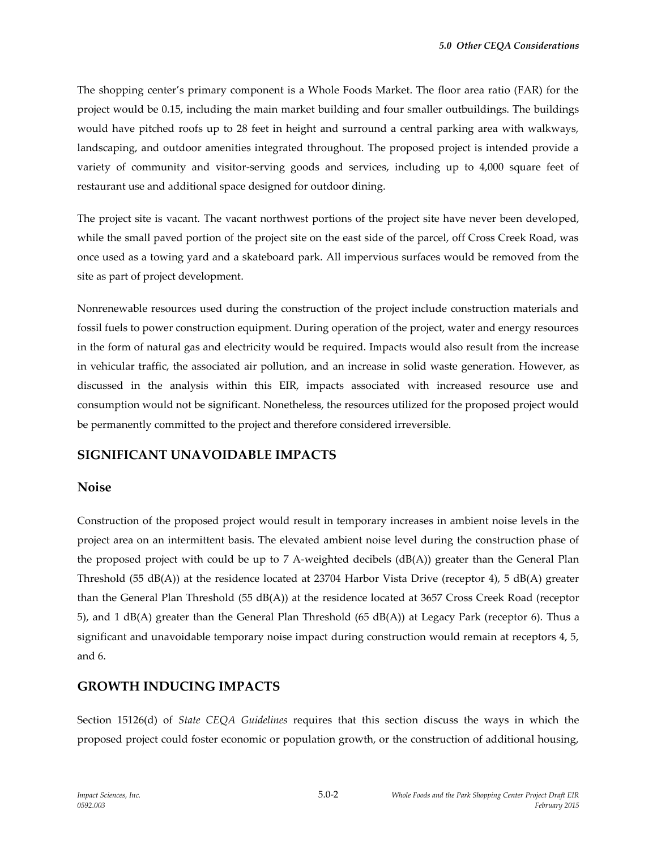The shopping center's primary component is a Whole Foods Market. The floor area ratio (FAR) for the project would be 0.15, including the main market building and four smaller outbuildings. The buildings would have pitched roofs up to 28 feet in height and surround a central parking area with walkways, landscaping, and outdoor amenities integrated throughout. The proposed project is intended provide a variety of community and visitor-serving goods and services, including up to 4,000 square feet of restaurant use and additional space designed for outdoor dining.

The project site is vacant. The vacant northwest portions of the project site have never been developed, while the small paved portion of the project site on the east side of the parcel, off Cross Creek Road, was once used as a towing yard and a skateboard park. All impervious surfaces would be removed from the site as part of project development.

Nonrenewable resources used during the construction of the project include construction materials and fossil fuels to power construction equipment. During operation of the project, water and energy resources in the form of natural gas and electricity would be required. Impacts would also result from the increase in vehicular traffic, the associated air pollution, and an increase in solid waste generation. However, as discussed in the analysis within this EIR, impacts associated with increased resource use and consumption would not be significant. Nonetheless, the resources utilized for the proposed project would be permanently committed to the project and therefore considered irreversible.

### **SIGNIFICANT UNAVOIDABLE IMPACTS**

#### **Noise**

Construction of the proposed project would result in temporary increases in ambient noise levels in the project area on an intermittent basis. The elevated ambient noise level during the construction phase of the proposed project with could be up to 7 A-weighted decibels (dB(A)) greater than the General Plan Threshold (55 dB(A)) at the residence located at 23704 Harbor Vista Drive (receptor 4), 5 dB(A) greater than the General Plan Threshold (55 dB(A)) at the residence located at 3657 Cross Creek Road (receptor 5), and 1 dB(A) greater than the General Plan Threshold (65 dB(A)) at Legacy Park (receptor 6). Thus a significant and unavoidable temporary noise impact during construction would remain at receptors 4, 5, and 6.

### **GROWTH INDUCING IMPACTS**

Section 15126(d) of *State CEQA Guidelines* requires that this section discuss the ways in which the proposed project could foster economic or population growth, or the construction of additional housing,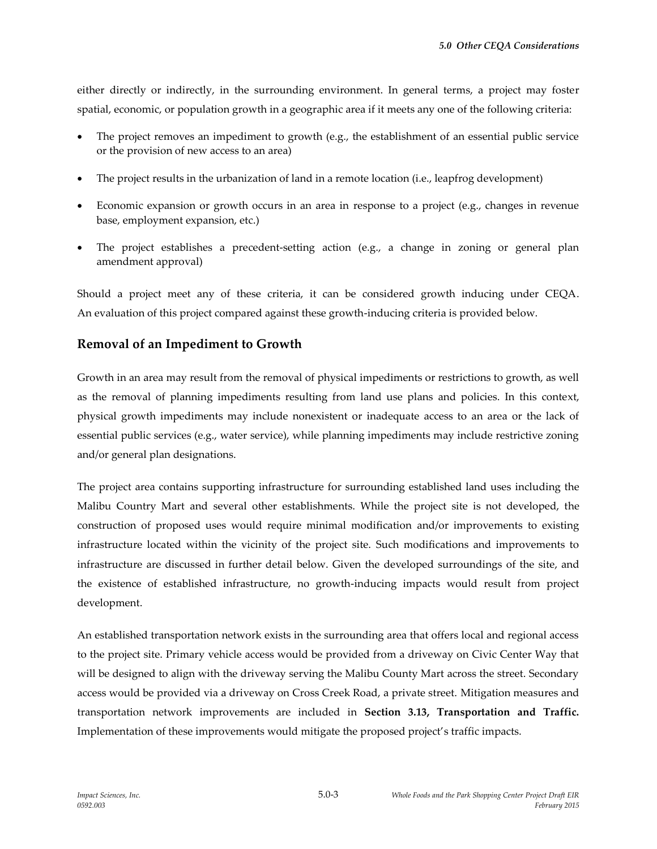either directly or indirectly, in the surrounding environment. In general terms, a project may foster spatial, economic, or population growth in a geographic area if it meets any one of the following criteria:

- The project removes an impediment to growth (e.g., the establishment of an essential public service or the provision of new access to an area)
- The project results in the urbanization of land in a remote location (i.e., leapfrog development)
- Economic expansion or growth occurs in an area in response to a project (e.g., changes in revenue base, employment expansion, etc.)
- The project establishes a precedent-setting action (e.g., a change in zoning or general plan amendment approval)

Should a project meet any of these criteria, it can be considered growth inducing under CEQA. An evaluation of this project compared against these growth-inducing criteria is provided below.

### **Removal of an Impediment to Growth**

Growth in an area may result from the removal of physical impediments or restrictions to growth, as well as the removal of planning impediments resulting from land use plans and policies. In this context, physical growth impediments may include nonexistent or inadequate access to an area or the lack of essential public services (e.g., water service), while planning impediments may include restrictive zoning and/or general plan designations.

The project area contains supporting infrastructure for surrounding established land uses including the Malibu Country Mart and several other establishments. While the project site is not developed, the construction of proposed uses would require minimal modification and/or improvements to existing infrastructure located within the vicinity of the project site. Such modifications and improvements to infrastructure are discussed in further detail below. Given the developed surroundings of the site, and the existence of established infrastructure, no growth-inducing impacts would result from project development.

An established transportation network exists in the surrounding area that offers local and regional access to the project site. Primary vehicle access would be provided from a driveway on Civic Center Way that will be designed to align with the driveway serving the Malibu County Mart across the street. Secondary access would be provided via a driveway on Cross Creek Road, a private street. Mitigation measures and transportation network improvements are included in **Section 3.13, Transportation and Traffic.**  Implementation of these improvements would mitigate the proposed project's traffic impacts.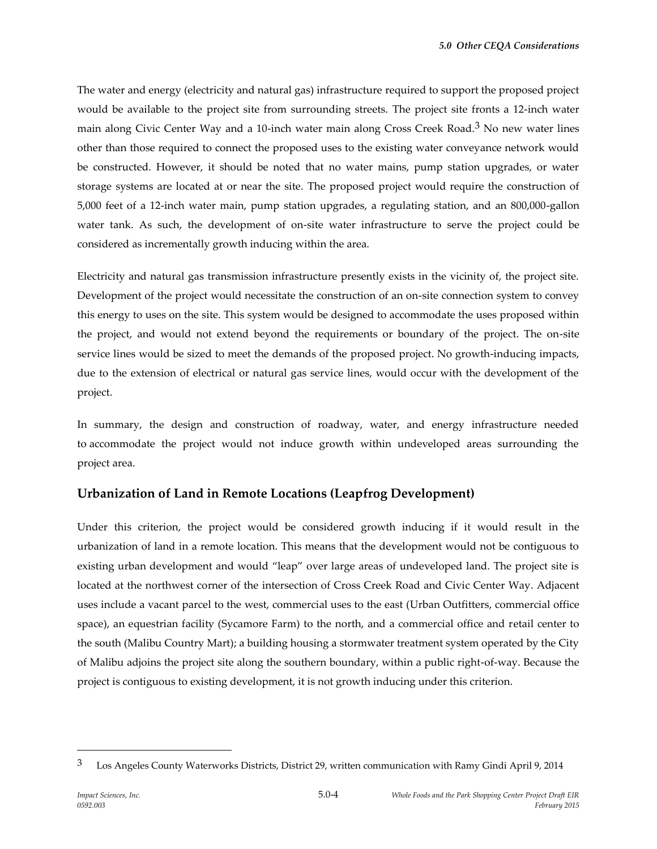The water and energy (electricity and natural gas) infrastructure required to support the proposed project would be available to the project site from surrounding streets. The project site fronts a 12-inch water main along Civic Center Way and a 10-inch water main along Cross Creek Road.3 No new water lines other than those required to connect the proposed uses to the existing water conveyance network would be constructed. However, it should be noted that no water mains, pump station upgrades, or water storage systems are located at or near the site. The proposed project would require the construction of 5,000 feet of a 12-inch water main, pump station upgrades, a regulating station, and an 800,000-gallon water tank. As such, the development of on-site water infrastructure to serve the project could be considered as incrementally growth inducing within the area.

Electricity and natural gas transmission infrastructure presently exists in the vicinity of, the project site. Development of the project would necessitate the construction of an on-site connection system to convey this energy to uses on the site. This system would be designed to accommodate the uses proposed within the project, and would not extend beyond the requirements or boundary of the project. The on-site service lines would be sized to meet the demands of the proposed project. No growth-inducing impacts, due to the extension of electrical or natural gas service lines, would occur with the development of the project.

In summary, the design and construction of roadway, water, and energy infrastructure needed to accommodate the project would not induce growth within undeveloped areas surrounding the project area.

#### **Urbanization of Land in Remote Locations (Leapfrog Development)**

Under this criterion, the project would be considered growth inducing if it would result in the urbanization of land in a remote location. This means that the development would not be contiguous to existing urban development and would "leap" over large areas of undeveloped land. The project site is located at the northwest corner of the intersection of Cross Creek Road and Civic Center Way. Adjacent uses include a vacant parcel to the west, commercial uses to the east (Urban Outfitters, commercial office space), an equestrian facility (Sycamore Farm) to the north, and a commercial office and retail center to the south (Malibu Country Mart); a building housing a stormwater treatment system operated by the City of Malibu adjoins the project site along the southern boundary, within a public right-of-way. Because the project is contiguous to existing development, it is not growth inducing under this criterion.

 $\overline{a}$ 

<sup>&</sup>lt;sup>3</sup> Los Angeles County Waterworks Districts, District 29, written communication with Ramy Gindi April 9, 2014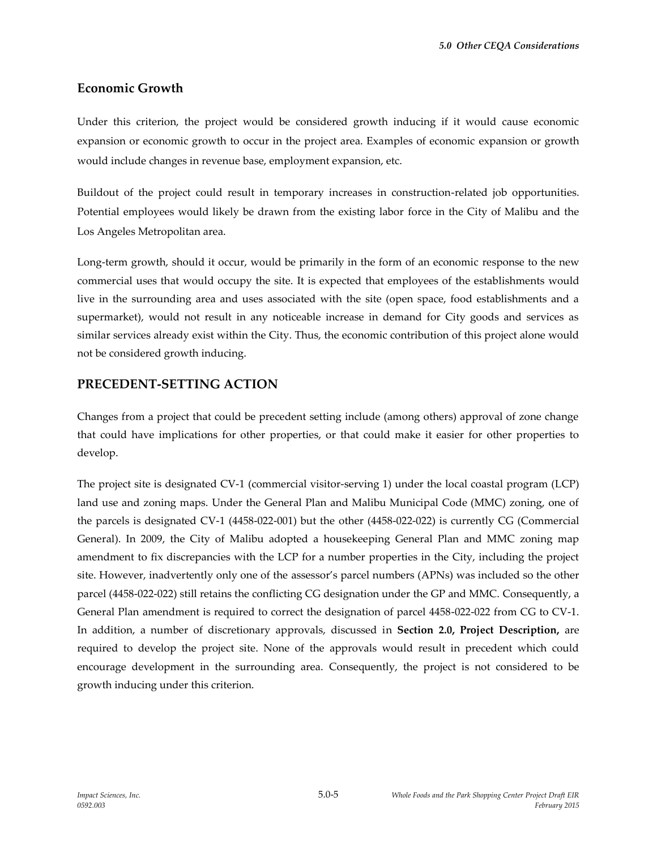# **Economic Growth**

Under this criterion, the project would be considered growth inducing if it would cause economic expansion or economic growth to occur in the project area. Examples of economic expansion or growth would include changes in revenue base, employment expansion, etc.

Buildout of the project could result in temporary increases in construction-related job opportunities. Potential employees would likely be drawn from the existing labor force in the City of Malibu and the Los Angeles Metropolitan area.

Long-term growth, should it occur, would be primarily in the form of an economic response to the new commercial uses that would occupy the site. It is expected that employees of the establishments would live in the surrounding area and uses associated with the site (open space, food establishments and a supermarket), would not result in any noticeable increase in demand for City goods and services as similar services already exist within the City. Thus, the economic contribution of this project alone would not be considered growth inducing.

#### **PRECEDENT-SETTING ACTION**

Changes from a project that could be precedent setting include (among others) approval of zone change that could have implications for other properties, or that could make it easier for other properties to develop.

The project site is designated CV-1 (commercial visitor-serving 1) under the local coastal program (LCP) land use and zoning maps. Under the General Plan and Malibu Municipal Code (MMC) zoning, one of the parcels is designated CV-1 (4458-022-001) but the other (4458-022-022) is currently CG (Commercial General). In 2009, the City of Malibu adopted a housekeeping General Plan and MMC zoning map amendment to fix discrepancies with the LCP for a number properties in the City, including the project site. However, inadvertently only one of the assessor's parcel numbers (APNs) was included so the other parcel (4458-022-022) still retains the conflicting CG designation under the GP and MMC. Consequently, a General Plan amendment is required to correct the designation of parcel 4458-022-022 from CG to CV-1. In addition, a number of discretionary approvals, discussed in **Section 2.0, Project Description,** are required to develop the project site. None of the approvals would result in precedent which could encourage development in the surrounding area. Consequently, the project is not considered to be growth inducing under this criterion.